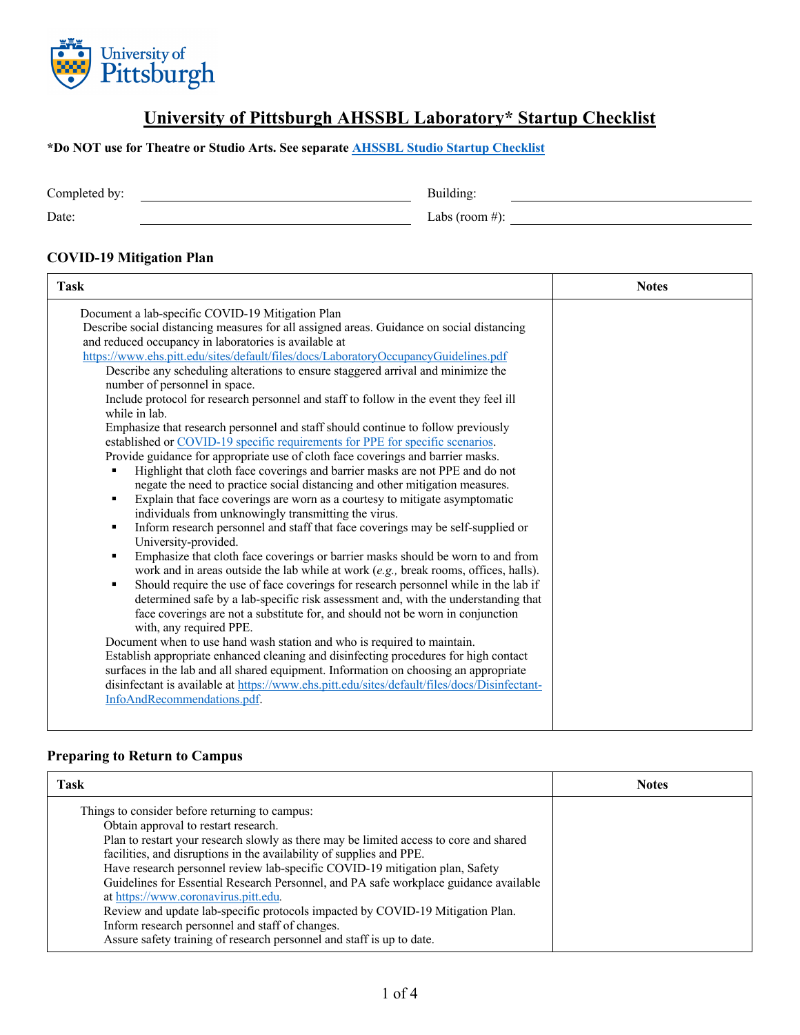

## **University of Pittsburgh AHSSBL Laboratory\* Startup Checklist**

**\*Do NOT use for Theatre or Studio Arts. See separate [AHSSBL Studio Startup Checklist](https://www.research.pitt.edu/sites/default/files/COVID/SchoolRestartPlans/AHSSBL_Studio_Space_Restart_Plan_Template_SGedits%20720MSF_final.pdf)**

Completed by: Building:

Date:  $\qquad \qquad$  Labs (room #):

#### **COVID-19 Mitigation Plan**

| Document a lab-specific COVID-19 Mitigation Plan<br>Describe social distancing measures for all assigned areas. Guidance on social distancing<br>and reduced occupancy in laboratories is available at<br>https://www.ehs.pitt.edu/sites/default/files/docs/LaboratoryOccupancyGuidelines.pdf<br>Describe any scheduling alterations to ensure staggered arrival and minimize the<br>number of personnel in space.<br>Include protocol for research personnel and staff to follow in the event they feel ill<br>while in lab.<br>Emphasize that research personnel and staff should continue to follow previously<br>established or COVID-19 specific requirements for PPE for specific scenarios.<br>Provide guidance for appropriate use of cloth face coverings and barrier masks.<br>Highlight that cloth face coverings and barrier masks are not PPE and do not<br>negate the need to practice social distancing and other mitigation measures.<br>Explain that face coverings are worn as a courtesy to mitigate asymptomatic<br>individuals from unknowingly transmitting the virus.<br>Inform research personnel and staff that face coverings may be self-supplied or<br>٠<br>University-provided.<br>Emphasize that cloth face coverings or barrier masks should be worn to and from<br>work and in areas outside the lab while at work $(e.g.,$ break rooms, offices, halls).<br>Should require the use of face coverings for research personnel while in the lab if<br>determined safe by a lab-specific risk assessment and, with the understanding that<br>face coverings are not a substitute for, and should not be worn in conjunction<br>with, any required PPE.<br>Document when to use hand wash station and who is required to maintain.<br>Establish appropriate enhanced cleaning and disinfecting procedures for high contact<br>surfaces in the lab and all shared equipment. Information on choosing an appropriate<br>disinfectant is available at https://www.ehs.pitt.edu/sites/default/files/docs/Disinfectant-<br>InfoAndRecommendations.pdf. | <b>Task</b> | <b>Notes</b> |
|-------------------------------------------------------------------------------------------------------------------------------------------------------------------------------------------------------------------------------------------------------------------------------------------------------------------------------------------------------------------------------------------------------------------------------------------------------------------------------------------------------------------------------------------------------------------------------------------------------------------------------------------------------------------------------------------------------------------------------------------------------------------------------------------------------------------------------------------------------------------------------------------------------------------------------------------------------------------------------------------------------------------------------------------------------------------------------------------------------------------------------------------------------------------------------------------------------------------------------------------------------------------------------------------------------------------------------------------------------------------------------------------------------------------------------------------------------------------------------------------------------------------------------------------------------------------------------------------------------------------------------------------------------------------------------------------------------------------------------------------------------------------------------------------------------------------------------------------------------------------------------------------------------------------------------------------------------------------------------------------------------------------------------------------------------------------------------|-------------|--------------|
|                                                                                                                                                                                                                                                                                                                                                                                                                                                                                                                                                                                                                                                                                                                                                                                                                                                                                                                                                                                                                                                                                                                                                                                                                                                                                                                                                                                                                                                                                                                                                                                                                                                                                                                                                                                                                                                                                                                                                                                                                                                                               |             |              |

#### **Preparing to Return to Campus**

| Task                                                                                                                                                                                                                                                                                                                                                                                                                                                                                                                                                                                                                                                                                    | <b>Notes</b> |
|-----------------------------------------------------------------------------------------------------------------------------------------------------------------------------------------------------------------------------------------------------------------------------------------------------------------------------------------------------------------------------------------------------------------------------------------------------------------------------------------------------------------------------------------------------------------------------------------------------------------------------------------------------------------------------------------|--------------|
| Things to consider before returning to campus:<br>Obtain approval to restart research.<br>Plan to restart your research slowly as there may be limited access to core and shared<br>facilities, and disruptions in the availability of supplies and PPE.<br>Have research personnel review lab-specific COVID-19 mitigation plan, Safety<br>Guidelines for Essential Research Personnel, and PA safe workplace guidance available<br>at https://www.coronavirus.pitt.edu.<br>Review and update lab-specific protocols impacted by COVID-19 Mitigation Plan.<br>Inform research personnel and staff of changes.<br>Assure safety training of research personnel and staff is up to date. |              |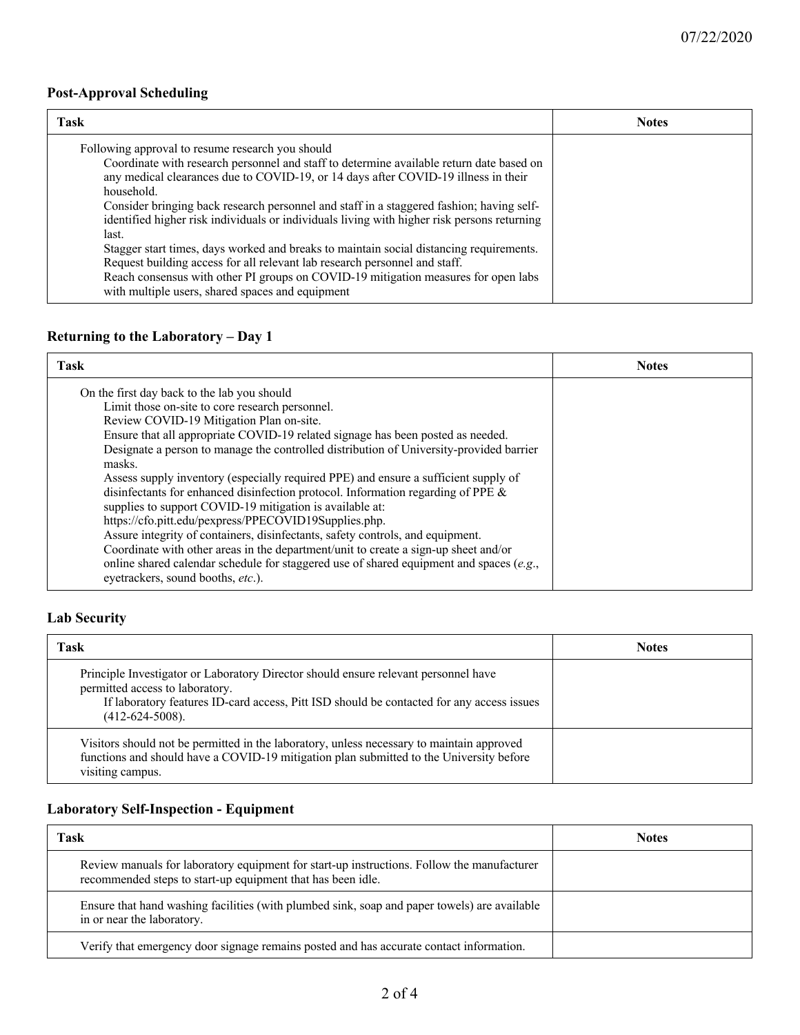#### **Post-Approval Scheduling**

| Task                                                                                                                                                                                                                                                                                                                                                                                                                                                                                                                                                                                                                                                                                                                                                                    | <b>Notes</b> |
|-------------------------------------------------------------------------------------------------------------------------------------------------------------------------------------------------------------------------------------------------------------------------------------------------------------------------------------------------------------------------------------------------------------------------------------------------------------------------------------------------------------------------------------------------------------------------------------------------------------------------------------------------------------------------------------------------------------------------------------------------------------------------|--------------|
| Following approval to resume research you should<br>Coordinate with research personnel and staff to determine available return date based on<br>any medical clearances due to COVID-19, or 14 days after COVID-19 illness in their<br>household.<br>Consider bringing back research personnel and staff in a staggered fashion; having self-<br>identified higher risk individuals or individuals living with higher risk persons returning<br>last.<br>Stagger start times, days worked and breaks to maintain social distancing requirements.<br>Request building access for all relevant lab research personnel and staff.<br>Reach consensus with other PI groups on COVID-19 mitigation measures for open labs<br>with multiple users, shared spaces and equipment |              |

#### **Returning to the Laboratory – Day 1**

| <b>Task</b>                                                                                                                                                                                                                                                                                                                                                                                                                                                                                                                                                                                                                                                                                                                                                                                                                                                                                                                                 | <b>Notes</b> |
|---------------------------------------------------------------------------------------------------------------------------------------------------------------------------------------------------------------------------------------------------------------------------------------------------------------------------------------------------------------------------------------------------------------------------------------------------------------------------------------------------------------------------------------------------------------------------------------------------------------------------------------------------------------------------------------------------------------------------------------------------------------------------------------------------------------------------------------------------------------------------------------------------------------------------------------------|--------------|
| On the first day back to the lab you should<br>Limit those on-site to core research personnel.<br>Review COVID-19 Mitigation Plan on-site.<br>Ensure that all appropriate COVID-19 related signage has been posted as needed.<br>Designate a person to manage the controlled distribution of University-provided barrier<br>masks.<br>Assess supply inventory (especially required PPE) and ensure a sufficient supply of<br>disinfectants for enhanced disinfection protocol. Information regarding of PPE &<br>supplies to support COVID-19 mitigation is available at:<br>https://cfo.pitt.edu/pexpress/PPECOVID19Supplies.php.<br>Assure integrity of containers, disinfectants, safety controls, and equipment.<br>Coordinate with other areas in the department/unit to create a sign-up sheet and/or<br>online shared calendar schedule for staggered use of shared equipment and spaces (e.g.,<br>eyetrackers, sound booths, etc.). |              |

#### **Lab Security**

| <b>Task</b>                                                                                                                                                                                                                               | <b>Notes</b> |
|-------------------------------------------------------------------------------------------------------------------------------------------------------------------------------------------------------------------------------------------|--------------|
| Principle Investigator or Laboratory Director should ensure relevant personnel have<br>permitted access to laboratory.<br>If laboratory features ID-card access, Pitt ISD should be contacted for any access issues<br>$(412-624-5008)$ . |              |
| Visitors should not be permitted in the laboratory, unless necessary to maintain approved<br>functions and should have a COVID-19 mitigation plan submitted to the University before<br>visiting campus.                                  |              |

# **Laboratory Self-Inspection - Equipment**

| Task                                                                                                                                                      | <b>Notes</b> |
|-----------------------------------------------------------------------------------------------------------------------------------------------------------|--------------|
| Review manuals for laboratory equipment for start-up instructions. Follow the manufacturer<br>recommended steps to start-up equipment that has been idle. |              |
| Ensure that hand washing facilities (with plumbed sink, soap and paper towels) are available<br>in or near the laboratory.                                |              |
| Verify that emergency door signage remains posted and has accurate contact information.                                                                   |              |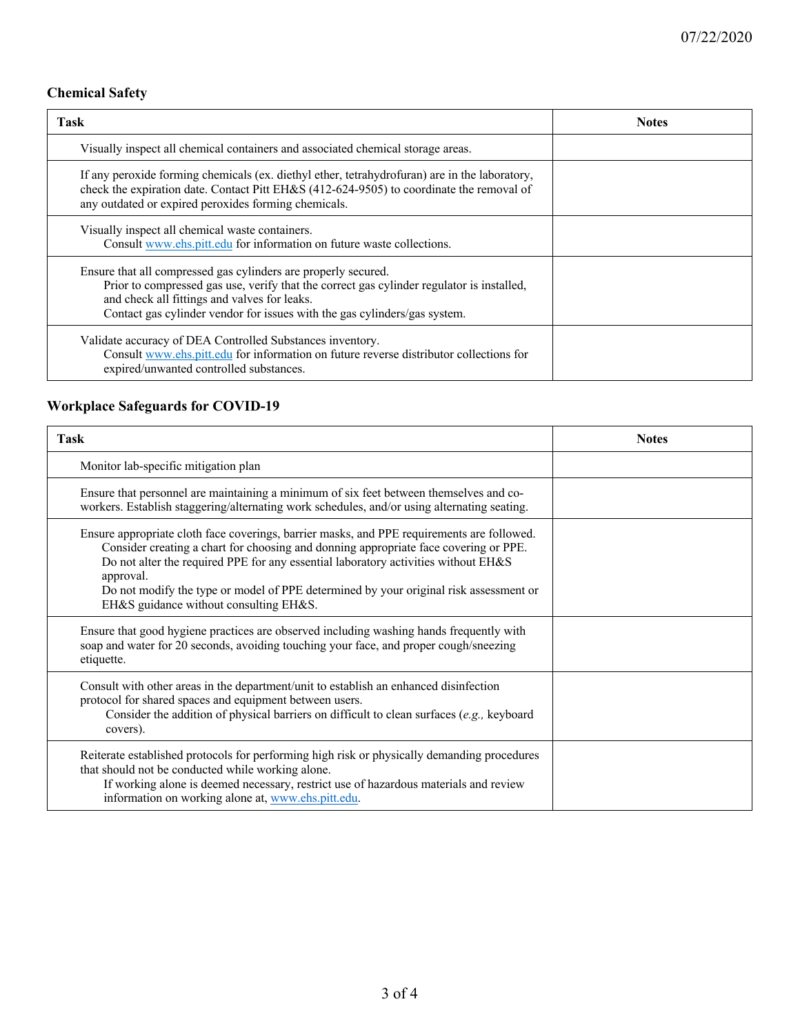#### **Chemical Safety**

| Task                                                                                                                                                                                                                                                                                     | <b>Notes</b> |
|------------------------------------------------------------------------------------------------------------------------------------------------------------------------------------------------------------------------------------------------------------------------------------------|--------------|
| Visually inspect all chemical containers and associated chemical storage areas.                                                                                                                                                                                                          |              |
| If any peroxide forming chemicals (ex. diethyl ether, tetrahydrofuran) are in the laboratory,<br>check the expiration date. Contact Pitt EH&S (412-624-9505) to coordinate the removal of<br>any outdated or expired peroxides forming chemicals.                                        |              |
| Visually inspect all chemical waste containers.<br>Consult www.ehs.pitt.edu for information on future waste collections.                                                                                                                                                                 |              |
| Ensure that all compressed gas cylinders are properly secured.<br>Prior to compressed gas use, verify that the correct gas cylinder regulator is installed,<br>and check all fittings and valves for leaks.<br>Contact gas cylinder vendor for issues with the gas cylinders/gas system. |              |
| Validate accuracy of DEA Controlled Substances inventory.<br>Consult www.ehs.pitt.edu for information on future reverse distributor collections for<br>expired/unwanted controlled substances.                                                                                           |              |

### **Workplace Safeguards for COVID-19**

| <b>Task</b>                                                                                                                                                                                                                                                                                                                                                                                                              | <b>Notes</b> |
|--------------------------------------------------------------------------------------------------------------------------------------------------------------------------------------------------------------------------------------------------------------------------------------------------------------------------------------------------------------------------------------------------------------------------|--------------|
| Monitor lab-specific mitigation plan                                                                                                                                                                                                                                                                                                                                                                                     |              |
| Ensure that personnel are maintaining a minimum of six feet between themselves and co-<br>workers. Establish staggering/alternating work schedules, and/or using alternating seating.                                                                                                                                                                                                                                    |              |
| Ensure appropriate cloth face coverings, barrier masks, and PPE requirements are followed.<br>Consider creating a chart for choosing and donning appropriate face covering or PPE.<br>Do not alter the required PPE for any essential laboratory activities without EH&S<br>approval.<br>Do not modify the type or model of PPE determined by your original risk assessment or<br>EH&S guidance without consulting EH&S. |              |
| Ensure that good hygiene practices are observed including washing hands frequently with<br>soap and water for 20 seconds, avoiding touching your face, and proper cough/sneezing<br>etiquette.                                                                                                                                                                                                                           |              |
| Consult with other areas in the department/unit to establish an enhanced disinfection<br>protocol for shared spaces and equipment between users.<br>Consider the addition of physical barriers on difficult to clean surfaces (e.g., keyboard<br>covers).                                                                                                                                                                |              |
| Reiterate established protocols for performing high risk or physically demanding procedures<br>that should not be conducted while working alone.<br>If working alone is deemed necessary, restrict use of hazardous materials and review<br>information on working alone at, www.ehs.pitt.edu.                                                                                                                           |              |